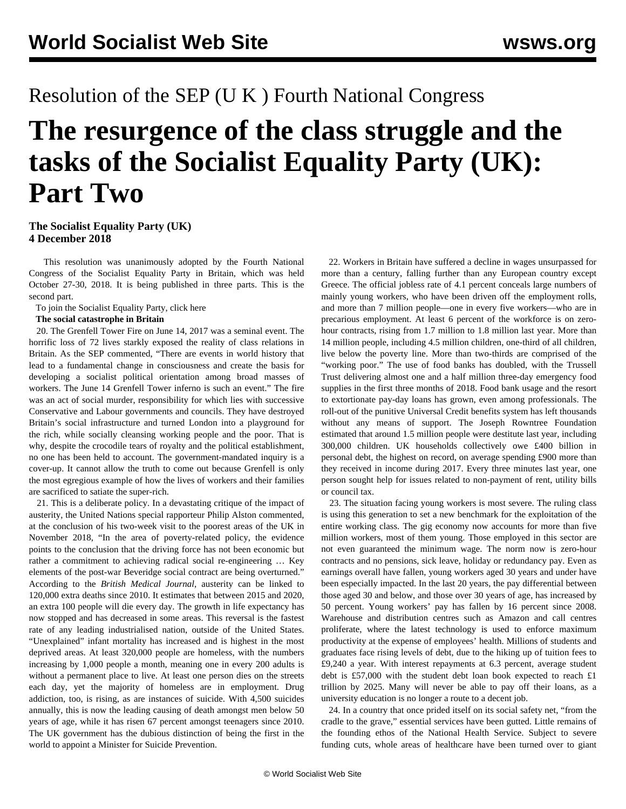## Resolution of the SEP (U K ) Fourth National Congress

# **The resurgence of the class struggle and the tasks of the Socialist Equality Party (UK): Part Two**

#### **The Socialist Equality Party (UK) 4 December 2018**

 This resolution was unanimously adopted by the Fourth National Congress of the Socialist Equality Party in Britain, which was held October 27-30, 2018. It is being published in three parts. This is the second part.

To join the Socialist Equality Party, click [here](/en/special/sepjoin.html)

#### **The social catastrophe in Britain**

 20. The Grenfell Tower Fire on June 14, 2017 was a seminal event. The horrific loss of 72 lives starkly exposed the reality of class relations in Britain. As the SEP commented, "There are events in world history that lead to a fundamental change in consciousness and create the basis for developing a socialist political orientation among broad masses of workers. The June 14 Grenfell Tower inferno is such an event." The fire was an act of social murder, responsibility for which lies with successive Conservative and Labour governments and councils. They have destroyed Britain's social infrastructure and turned London into a playground for the rich, while socially cleansing working people and the poor. That is why, despite the crocodile tears of royalty and the political establishment, no one has been held to account. The government-mandated inquiry is a cover-up. It cannot allow the truth to come out because Grenfell is only the most egregious example of how the lives of workers and their families are sacrificed to satiate the super-rich.

 21. This is a deliberate policy. In a devastating critique of the impact of austerity, the United Nations special rapporteur Philip Alston commented, at the conclusion of his two-week visit to the poorest areas of the UK in November 2018, "In the area of poverty-related policy, the evidence points to the conclusion that the driving force has not been economic but rather a commitment to achieving radical social re-engineering … Key elements of the post-war Beveridge social contract are being overturned." According to the *British Medical Journal*, austerity can be linked to 120,000 extra deaths since 2010. It estimates that between 2015 and 2020, an extra 100 people will die every day. The growth in life expectancy has now stopped and has decreased in some areas. This reversal is the fastest rate of any leading industrialised nation, outside of the United States. "Unexplained" infant mortality has increased and is highest in the most deprived areas. At least 320,000 people are homeless, with the numbers increasing by 1,000 people a month, meaning one in every 200 adults is without a permanent place to live. At least one person dies on the streets each day, yet the majority of homeless are in employment. Drug addiction, too, is rising, as are instances of suicide. With 4,500 suicides annually, this is now the leading causing of death amongst men below 50 years of age, while it has risen 67 percent amongst teenagers since 2010. The UK government has the dubious distinction of being the first in the world to appoint a Minister for Suicide Prevention.

 22. Workers in Britain have suffered a decline in wages unsurpassed for more than a century, falling further than any European country except Greece. The official jobless rate of 4.1 percent conceals large numbers of mainly young workers, who have been driven off the employment rolls, and more than 7 million people—one in every five workers—who are in precarious employment. At least 6 percent of the workforce is on zerohour contracts, rising from 1.7 million to 1.8 million last year. More than 14 million people, including 4.5 million children, one-third of all children, live below the poverty line. More than two-thirds are comprised of the "working poor." The use of food banks has doubled, with the Trussell Trust delivering almost one and a half million three-day emergency food supplies in the first three months of 2018. Food bank usage and the resort to extortionate pay-day loans has grown, even among professionals. The roll-out of the punitive Universal Credit benefits system has left thousands without any means of support. The Joseph Rowntree Foundation estimated that around 1.5 million people were destitute last year, including 300,000 children. UK households collectively owe £400 billion in personal debt, the highest on record, on average spending £900 more than they received in income during 2017. Every three minutes last year, one person sought help for issues related to non-payment of rent, utility bills or council tax.

 23. The situation facing young workers is most severe. The ruling class is using this generation to set a new benchmark for the exploitation of the entire working class. The gig economy now accounts for more than five million workers, most of them young. Those employed in this sector are not even guaranteed the minimum wage. The norm now is zero-hour contracts and no pensions, sick leave, holiday or redundancy pay. Even as earnings overall have fallen, young workers aged 30 years and under have been especially impacted. In the last 20 years, the pay differential between those aged 30 and below, and those over 30 years of age, has increased by 50 percent. Young workers' pay has fallen by 16 percent since 2008. Warehouse and distribution centres such as Amazon and call centres proliferate, where the latest technology is used to enforce maximum productivity at the expense of employees' health. Millions of students and graduates face rising levels of debt, due to the hiking up of tuition fees to £9,240 a year. With interest repayments at 6.3 percent, average student debt is £57,000 with the student debt loan book expected to reach £1 trillion by 2025. Many will never be able to pay off their loans, as a university education is no longer a route to a decent job.

 24. In a country that once prided itself on its social safety net, "from the cradle to the grave," essential services have been gutted. Little remains of the founding ethos of the National Health Service. Subject to severe funding cuts, whole areas of healthcare have been turned over to giant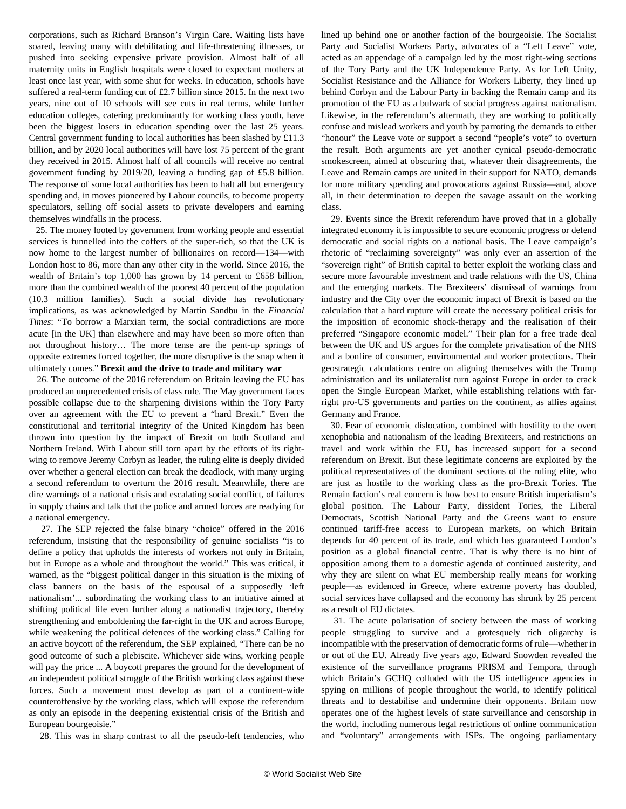corporations, such as Richard Branson's Virgin Care. Waiting lists have soared, leaving many with debilitating and life-threatening illnesses, or pushed into seeking expensive private provision. Almost half of all maternity units in English hospitals were closed to expectant mothers at least once last year, with some shut for weeks. In education, schools have suffered a real-term funding cut of £2.7 billion since 2015. In the next two years, nine out of 10 schools will see cuts in real terms, while further education colleges, catering predominantly for working class youth, have been the biggest losers in education spending over the last 25 years. Central government funding to local authorities has been slashed by £11.3 billion, and by 2020 local authorities will have lost 75 percent of the grant they received in 2015. Almost half of all councils will receive no central government funding by 2019/20, leaving a funding gap of £5.8 billion. The response of some local authorities has been to halt all but emergency spending and, in moves pioneered by Labour councils, to become property speculators, selling off social assets to private developers and earning themselves windfalls in the process.

 25. The money looted by government from working people and essential services is funnelled into the coffers of the super-rich, so that the UK is now home to the largest number of billionaires on record—134—with London host to 86, more than any other city in the world. Since 2016, the wealth of Britain's top 1,000 has grown by 14 percent to £658 billion, more than the combined wealth of the poorest 40 percent of the population (10.3 million families). Such a social divide has revolutionary implications, as was acknowledged by Martin Sandbu in the *Financial Times*: "To borrow a Marxian term, the social contradictions are more acute [in the UK] than elsewhere and may have been so more often than not throughout history… The more tense are the pent-up springs of opposite extremes forced together, the more disruptive is the snap when it ultimately comes." **Brexit and the drive to trade and military war**

 26. The outcome of the 2016 referendum on Britain leaving the EU has produced an unprecedented crisis of class rule. The May government faces possible collapse due to the sharpening divisions within the Tory Party over an agreement with the EU to prevent a "hard Brexit." Even the constitutional and territorial integrity of the United Kingdom has been thrown into question by the impact of Brexit on both Scotland and Northern Ireland. With Labour still torn apart by the efforts of its rightwing to remove Jeremy Corbyn as leader, the ruling elite is deeply divided over whether a general election can break the deadlock, with many urging a second referendum to overturn the 2016 result. Meanwhile, there are dire warnings of a national crisis and escalating social conflict, of failures in supply chains and talk that the police and armed forces are readying for a national emergency.

 27. The SEP rejected the false binary "choice" offered in the 2016 referendum, insisting that the responsibility of genuine socialists "is to define a policy that upholds the interests of workers not only in Britain, but in Europe as a whole and throughout the world." This was critical, it warned, as the "biggest political danger in this situation is the mixing of class banners on the basis of the espousal of a supposedly 'left nationalism'... subordinating the working class to an initiative aimed at shifting political life even further along a nationalist trajectory, thereby strengthening and emboldening the far-right in the UK and across Europe, while weakening the political defences of the working class." Calling for an active boycott of the referendum, the SEP explained, "There can be no good outcome of such a plebiscite. Whichever side wins, working people will pay the price ... A boycott prepares the ground for the development of an independent political struggle of the British working class against these forces. Such a movement must develop as part of a continent-wide counteroffensive by the working class, which will expose the referendum as only an episode in the deepening existential crisis of the British and European bourgeoisie."

28. This was in sharp contrast to all the pseudo-left tendencies, who

lined up behind one or another faction of the bourgeoisie. The Socialist Party and Socialist Workers Party, advocates of a "Left Leave" vote, acted as an appendage of a campaign led by the most right-wing sections of the Tory Party and the UK Independence Party. As for Left Unity, Socialist Resistance and the Alliance for Workers Liberty, they lined up behind Corbyn and the Labour Party in backing the Remain camp and its promotion of the EU as a bulwark of social progress against nationalism. Likewise, in the referendum's aftermath, they are working to politically confuse and mislead workers and youth by parroting the demands to either "honour" the Leave vote or support a second "people's vote" to overturn the result. Both arguments are yet another cynical pseudo-democratic smokescreen, aimed at obscuring that, whatever their disagreements, the Leave and Remain camps are united in their support for NATO, demands for more military spending and provocations against Russia—and, above all, in their determination to deepen the savage assault on the working class.

 29. Events since the Brexit referendum have proved that in a globally integrated economy it is impossible to secure economic progress or defend democratic and social rights on a national basis. The Leave campaign's rhetoric of "reclaiming sovereignty" was only ever an assertion of the "sovereign right" of British capital to better exploit the working class and secure more favourable investment and trade relations with the US, China and the emerging markets. The Brexiteers' dismissal of warnings from industry and the City over the economic impact of Brexit is based on the calculation that a hard rupture will create the necessary political crisis for the imposition of economic shock-therapy and the realisation of their preferred "Singapore economic model." Their plan for a free trade deal between the UK and US argues for the complete privatisation of the NHS and a bonfire of consumer, environmental and worker protections. Their geostrategic calculations centre on aligning themselves with the Trump administration and its unilateralist turn against Europe in order to crack open the Single European Market, while establishing relations with farright pro-US governments and parties on the continent, as allies against Germany and France.

 30. Fear of economic dislocation, combined with hostility to the overt xenophobia and nationalism of the leading Brexiteers, and restrictions on travel and work within the EU, has increased support for a second referendum on Brexit. But these legitimate concerns are exploited by the political representatives of the dominant sections of the ruling elite, who are just as hostile to the working class as the pro-Brexit Tories. The Remain faction's real concern is how best to ensure British imperialism's global position. The Labour Party, dissident Tories, the Liberal Democrats, Scottish National Party and the Greens want to ensure continued tariff-free access to European markets, on which Britain depends for 40 percent of its trade, and which has guaranteed London's position as a global financial centre. That is why there is no hint of opposition among them to a domestic agenda of continued austerity, and why they are silent on what EU membership really means for working people—as evidenced in Greece, where extreme poverty has doubled, social services have collapsed and the economy has shrunk by 25 percent as a result of EU dictates.

 31. The acute polarisation of society between the mass of working people struggling to survive and a grotesquely rich oligarchy is incompatible with the preservation of democratic forms of rule—whether in or out of the EU. Already five years ago, Edward Snowden revealed the existence of the surveillance programs PRISM and Tempora, through which Britain's GCHQ colluded with the US intelligence agencies in spying on millions of people throughout the world, to identify political threats and to destabilise and undermine their opponents. Britain now operates one of the highest levels of state surveillance and censorship in the world, including numerous legal restrictions of online communication and "voluntary" arrangements with ISPs. The ongoing parliamentary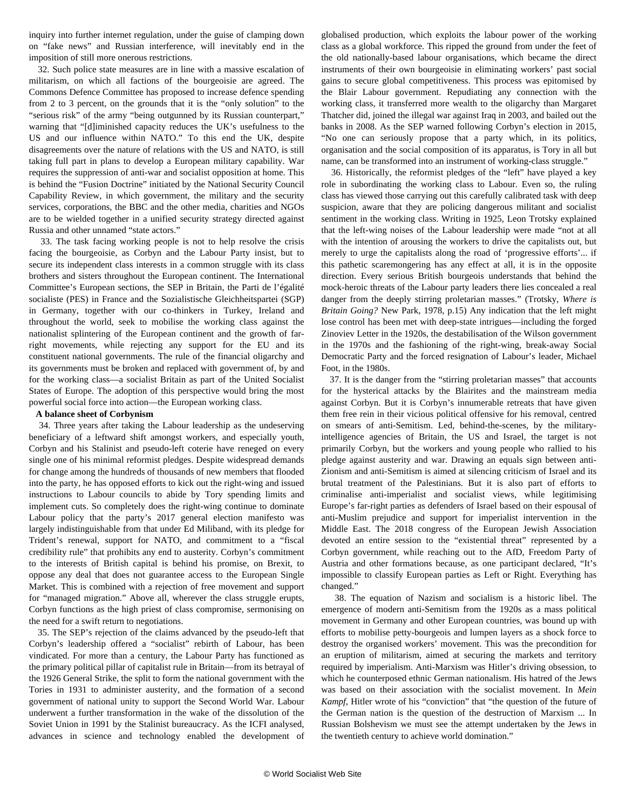inquiry into further internet regulation, under the guise of clamping down on "fake news" and Russian interference, will inevitably end in the imposition of still more onerous restrictions.

 32. Such police state measures are in line with a massive escalation of militarism, on which all factions of the bourgeoisie are agreed. The Commons Defence Committee has proposed to increase defence spending from 2 to 3 percent, on the grounds that it is the "only solution" to the "serious risk" of the army "being outgunned by its Russian counterpart," warning that "[d]iminished capacity reduces the UK's usefulness to the US and our influence within NATO." To this end the UK, despite disagreements over the nature of relations with the US and NATO, is still taking full part in plans to develop a European military capability. War requires the suppression of anti-war and socialist opposition at home. This is behind the "Fusion Doctrine" initiated by the National Security Council Capability Review, in which government, the military and the security services, corporations, the BBC and the other media, charities and NGOs are to be wielded together in a unified security strategy directed against Russia and other unnamed "state actors."

 33. The task facing working people is not to help resolve the crisis facing the bourgeoisie, as Corbyn and the Labour Party insist, but to secure its independent class interests in a common struggle with its class brothers and sisters throughout the European continent. The International Committee's European sections, the SEP in Britain, the Parti de l'égalité socialiste (PES) in France and the Sozialistische Gleichheitspartei (SGP) in Germany, together with our co-thinkers in Turkey, Ireland and throughout the world, seek to mobilise the working class against the nationalist splintering of the European continent and the growth of farright movements, while rejecting any support for the EU and its constituent national governments. The rule of the financial oligarchy and its governments must be broken and replaced with government of, by and for the working class—a socialist Britain as part of the United Socialist States of Europe. The adoption of this perspective would bring the most powerful social force into action—the European working class.

#### **A balance sheet of Corbynism**

 34. Three years after taking the Labour leadership as the undeserving beneficiary of a leftward shift amongst workers, and especially youth, Corbyn and his Stalinist and pseudo-left coterie have reneged on every single one of his minimal reformist pledges. Despite widespread demands for change among the hundreds of thousands of new members that flooded into the party, he has opposed efforts to kick out the right-wing and issued instructions to Labour councils to abide by Tory spending limits and implement cuts. So completely does the right-wing continue to dominate Labour policy that the party's 2017 general election manifesto was largely indistinguishable from that under Ed Miliband, with its pledge for Trident's renewal, support for NATO, and commitment to a "fiscal credibility rule" that prohibits any end to austerity. Corbyn's commitment to the interests of British capital is behind his promise, on Brexit, to oppose any deal that does not guarantee access to the European Single Market. This is combined with a rejection of free movement and support for "managed migration." Above all, wherever the class struggle erupts, Corbyn functions as the high priest of class compromise, sermonising on the need for a swift return to negotiations.

 35. The SEP's rejection of the claims advanced by the pseudo-left that Corbyn's leadership offered a "socialist" rebirth of Labour, has been vindicated. For more than a century, the Labour Party has functioned as the primary political pillar of capitalist rule in Britain—from its betrayal of the 1926 General Strike, the split to form the national government with the Tories in 1931 to administer austerity, and the formation of a second government of national unity to support the Second World War. Labour underwent a further transformation in the wake of the dissolution of the Soviet Union in 1991 by the Stalinist bureaucracy. As the ICFI analysed, advances in science and technology enabled the development of globalised production, which exploits the labour power of the working class as a global workforce. This ripped the ground from under the feet of the old nationally-based labour organisations, which became the direct instruments of their own bourgeoisie in eliminating workers' past social gains to secure global competitiveness. This process was epitomised by the Blair Labour government. Repudiating any connection with the working class, it transferred more wealth to the oligarchy than Margaret Thatcher did, joined the illegal war against Iraq in 2003, and bailed out the banks in 2008. As the SEP warned following Corbyn's election in 2015, "No one can seriously propose that a party which, in its politics, organisation and the social composition of its apparatus, is Tory in all but name, can be transformed into an instrument of working-class struggle."

 36. Historically, the reformist pledges of the "left" have played a key role in subordinating the working class to Labour. Even so, the ruling class has viewed those carrying out this carefully calibrated task with deep suspicion, aware that they are policing dangerous militant and socialist sentiment in the working class. Writing in 1925, Leon Trotsky explained that the left-wing noises of the Labour leadership were made "not at all with the intention of arousing the workers to drive the capitalists out, but merely to urge the capitalists along the road of 'progressive efforts'... if this pathetic scaremongering has any effect at all, it is in the opposite direction. Every serious British bourgeois understands that behind the mock-heroic threats of the Labour party leaders there lies concealed a real danger from the deeply stirring proletarian masses." (Trotsky, *Where is Britain Going?* New Park, 1978, p.15) Any indication that the left might lose control has been met with deep-state intrigues—including the forged Zinoviev Letter in the 1920s, the destabilisation of the Wilson government in the 1970s and the fashioning of the right-wing, break-away Social Democratic Party and the forced resignation of Labour's leader, Michael Foot, in the 1980s.

 37. It is the danger from the "stirring proletarian masses" that accounts for the hysterical attacks by the Blairites and the mainstream media against Corbyn. But it is Corbyn's innumerable retreats that have given them free rein in their vicious political offensive for his removal, centred on smears of anti-Semitism. Led, behind-the-scenes, by the militaryintelligence agencies of Britain, the US and Israel, the target is not primarily Corbyn, but the workers and young people who rallied to his pledge against austerity and war. Drawing an equals sign between anti-Zionism and anti-Semitism is aimed at silencing criticism of Israel and its brutal treatment of the Palestinians. But it is also part of efforts to criminalise anti-imperialist and socialist views, while legitimising Europe's far-right parties as defenders of Israel based on their espousal of anti-Muslim prejudice and support for imperialist intervention in the Middle East. The 2018 congress of the European Jewish Association devoted an entire session to the "existential threat" represented by a Corbyn government, while reaching out to the AfD, Freedom Party of Austria and other formations because, as one participant declared, "It's impossible to classify European parties as Left or Right. Everything has changed."

 38. The equation of Nazism and socialism is a historic libel. The emergence of modern anti-Semitism from the 1920s as a mass political movement in Germany and other European countries, was bound up with efforts to mobilise petty-bourgeois and lumpen layers as a shock force to destroy the organised workers' movement. This was the precondition for an eruption of militarism, aimed at securing the markets and territory required by imperialism. Anti-Marxism was Hitler's driving obsession, to which he counterposed ethnic German nationalism. His hatred of the Jews was based on their association with the socialist movement. In *Mein Kampf*, Hitler wrote of his "conviction" that "the question of the future of the German nation is the question of the destruction of Marxism ... In Russian Bolshevism we must see the attempt undertaken by the Jews in the twentieth century to achieve world domination."